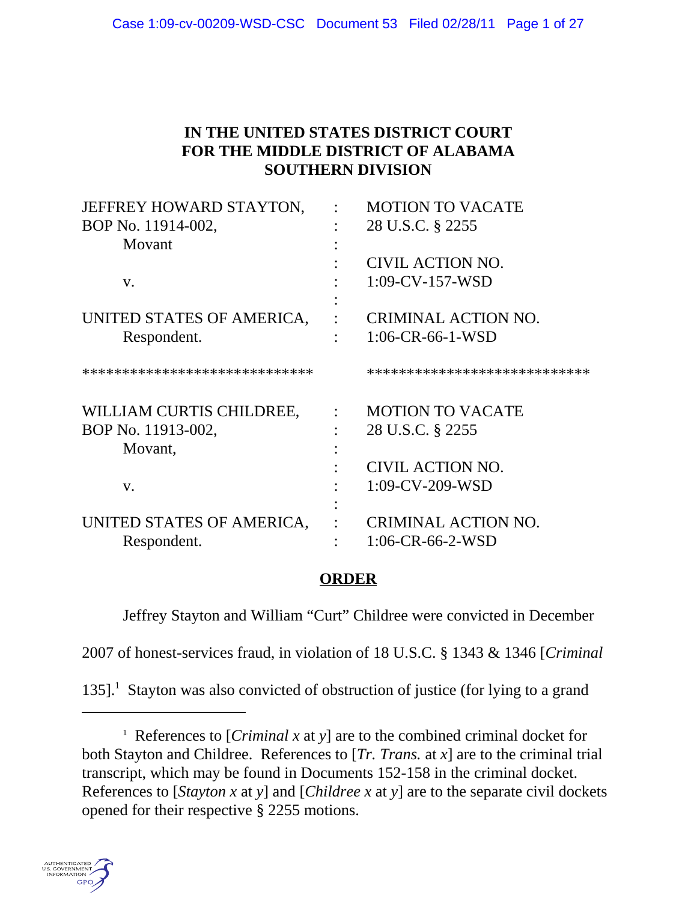# **IN THE UNITED STATES DISTRICT COURT FOR THE MIDDLE DISTRICT OF ALABAMA SOUTHERN DIVISION**

| JEFFREY HOWARD STAYTON,       | <b>MOTION TO VACATE</b>      |
|-------------------------------|------------------------------|
| BOP No. 11914-002,            | 28 U.S.C. § 2255             |
| Movant                        |                              |
|                               | CIVIL ACTION NO.             |
| V.                            | $1:09$ -CV-157-WSD           |
|                               |                              |
| UNITED STATES OF AMERICA,     | <b>CRIMINAL ACTION NO.</b>   |
| Respondent.                   | $1:06$ -CR-66-1-WSD          |
| ***************************** | **************************** |
| WILLIAM CURTIS CHILDREE,      | <b>MOTION TO VACATE</b>      |
| BOP No. 11913-002,            | 28 U.S.C. § 2255             |
| Movant,                       |                              |
|                               | CIVIL ACTION NO.             |
| V.                            | $1:09$ -CV-209-WSD           |
|                               |                              |
| UNITED STATES OF AMERICA,     | <b>CRIMINAL ACTION NO.</b>   |
| Respondent.                   | $1:06$ -CR-66-2-WSD          |
|                               |                              |

# **ORDER**

Jeffrey Stayton and William "Curt" Childree were convicted in December

2007 of honest-services fraud, in violation of 18 U.S.C. § 1343 & 1346 [*Criminal*

135].<sup>1</sup> Stayton was also convicted of obstruction of justice (for lying to a grand

<sup>1</sup> References to [*Criminal x* at *y*] are to the combined criminal docket for both Stayton and Childree. References to [*Tr. Trans.* at *x*] are to the criminal trial transcript, which may be found in Documents 152-158 in the criminal docket. References to [*Stayton x* at *y*] and [*Childree x* at *y*] are to the separate civil dockets opened for their respective § 2255 motions.

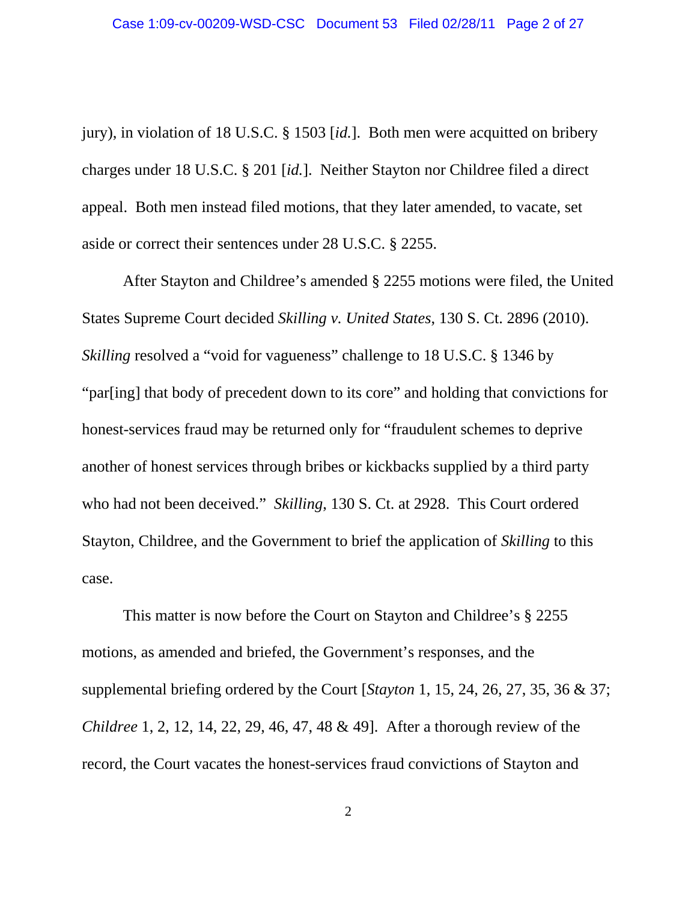jury), in violation of 18 U.S.C. § 1503 [*id.*]. Both men were acquitted on bribery charges under 18 U.S.C. § 201 [*id.*]. Neither Stayton nor Childree filed a direct appeal. Both men instead filed motions, that they later amended, to vacate, set aside or correct their sentences under 28 U.S.C. § 2255.

After Stayton and Childree's amended § 2255 motions were filed, the United States Supreme Court decided *Skilling v. United States*, 130 S. Ct. 2896 (2010). *Skilling* resolved a "void for vagueness" challenge to 18 U.S.C. § 1346 by "par[ing] that body of precedent down to its core" and holding that convictions for honest-services fraud may be returned only for "fraudulent schemes to deprive another of honest services through bribes or kickbacks supplied by a third party who had not been deceived." *Skilling*, 130 S. Ct. at 2928. This Court ordered Stayton, Childree, and the Government to brief the application of *Skilling* to this case.

This matter is now before the Court on Stayton and Childree's § 2255 motions, as amended and briefed, the Government's responses, and the supplemental briefing ordered by the Court [*Stayton* 1, 15, 24, 26, 27, 35, 36 & 37; *Childree* 1, 2, 12, 14, 22, 29, 46, 47, 48 & 49]. After a thorough review of the record, the Court vacates the honest-services fraud convictions of Stayton and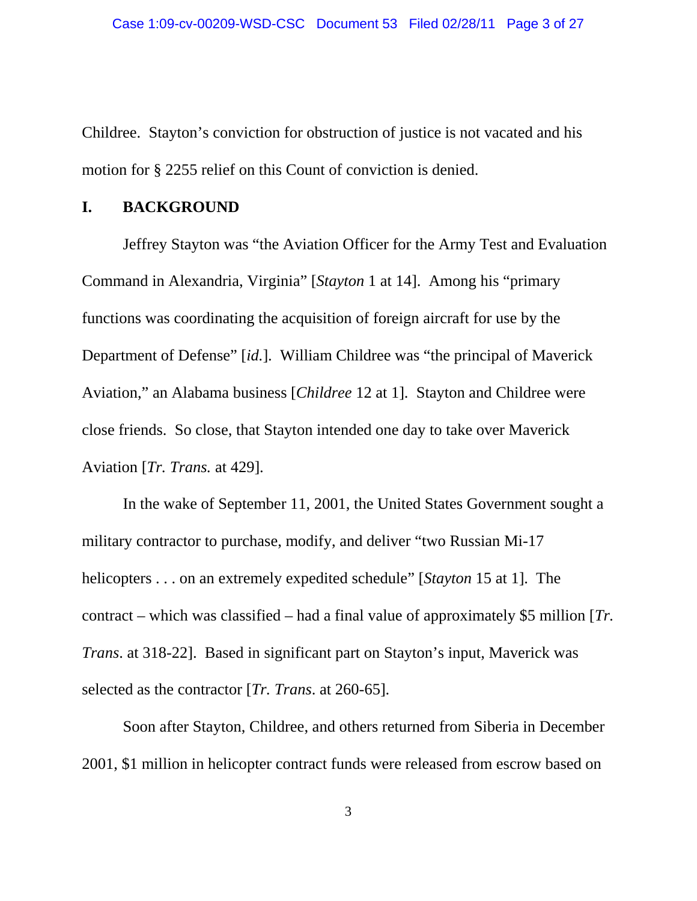Childree. Stayton's conviction for obstruction of justice is not vacated and his motion for § 2255 relief on this Count of conviction is denied.

#### **I. BACKGROUND**

Jeffrey Stayton was "the Aviation Officer for the Army Test and Evaluation Command in Alexandria, Virginia" [*Stayton* 1 at 14]. Among his "primary functions was coordinating the acquisition of foreign aircraft for use by the Department of Defense" [*id.*]. William Childree was "the principal of Maverick Aviation," an Alabama business [*Childree* 12 at 1]. Stayton and Childree were close friends. So close, that Stayton intended one day to take over Maverick Aviation [*Tr. Trans.* at 429].

In the wake of September 11, 2001, the United States Government sought a military contractor to purchase, modify, and deliver "two Russian Mi-17 helicopters . . . on an extremely expedited schedule" [*Stayton* 15 at 1]. The contract – which was classified – had a final value of approximately \$5 million [*Tr. Trans*. at 318-22]. Based in significant part on Stayton's input, Maverick was selected as the contractor [*Tr. Trans*. at 260-65].

Soon after Stayton, Childree, and others returned from Siberia in December 2001, \$1 million in helicopter contract funds were released from escrow based on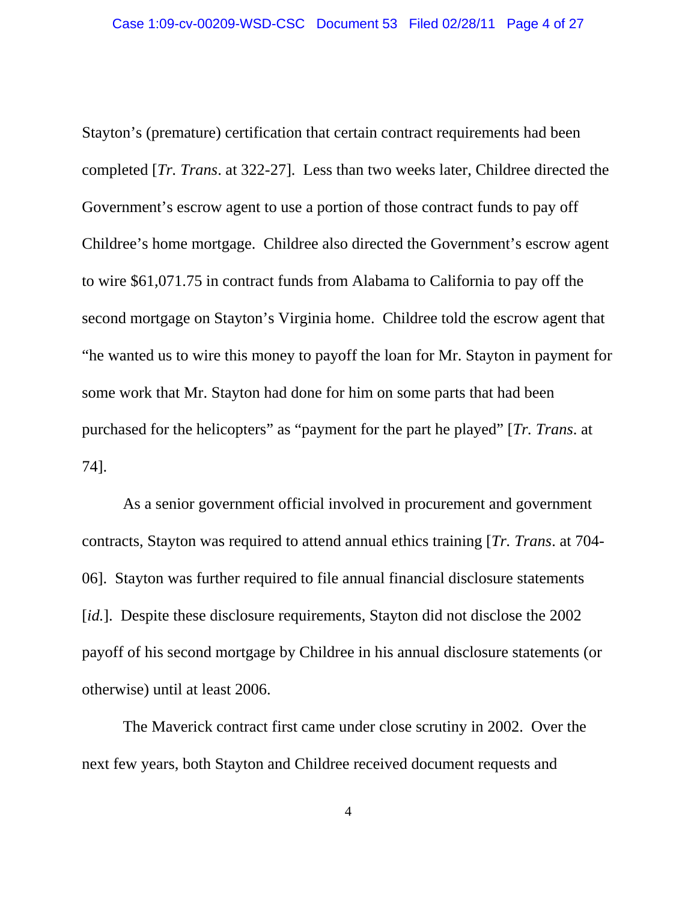Stayton's (premature) certification that certain contract requirements had been completed [*Tr. Trans*. at 322-27]. Less than two weeks later, Childree directed the Government's escrow agent to use a portion of those contract funds to pay off Childree's home mortgage. Childree also directed the Government's escrow agent to wire \$61,071.75 in contract funds from Alabama to California to pay off the second mortgage on Stayton's Virginia home. Childree told the escrow agent that "he wanted us to wire this money to payoff the loan for Mr. Stayton in payment for some work that Mr. Stayton had done for him on some parts that had been purchased for the helicopters" as "payment for the part he played" [*Tr. Trans*. at 74].

As a senior government official involved in procurement and government contracts, Stayton was required to attend annual ethics training [*Tr. Trans*. at 704- 06]. Stayton was further required to file annual financial disclosure statements [*id.*]. Despite these disclosure requirements, Stayton did not disclose the 2002 payoff of his second mortgage by Childree in his annual disclosure statements (or otherwise) until at least 2006.

The Maverick contract first came under close scrutiny in 2002. Over the next few years, both Stayton and Childree received document requests and

4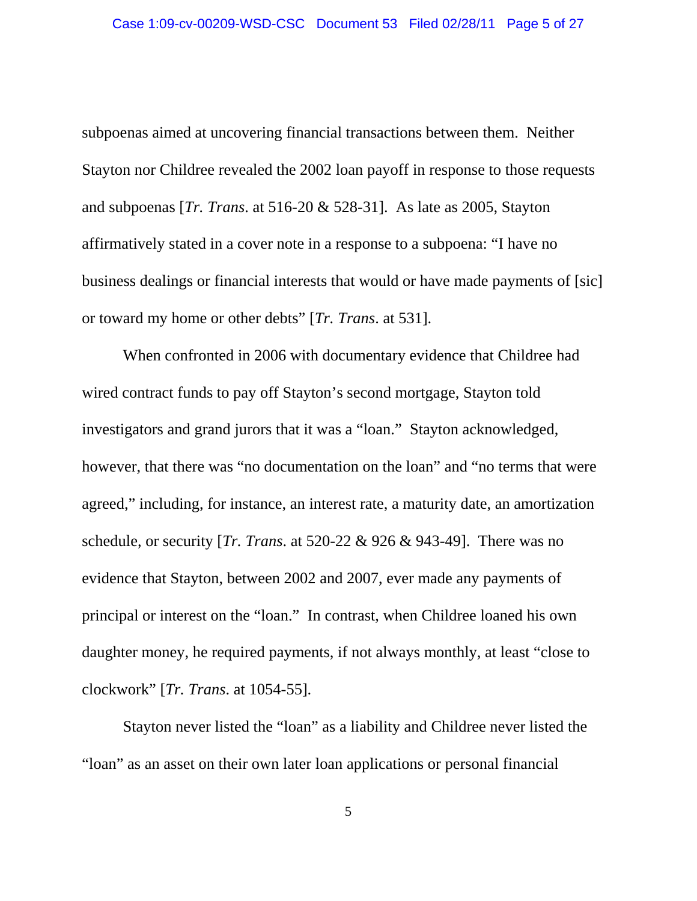subpoenas aimed at uncovering financial transactions between them. Neither Stayton nor Childree revealed the 2002 loan payoff in response to those requests and subpoenas [*Tr. Trans*. at 516-20 & 528-31]. As late as 2005, Stayton affirmatively stated in a cover note in a response to a subpoena: "I have no business dealings or financial interests that would or have made payments of [sic] or toward my home or other debts" [*Tr. Trans*. at 531].

When confronted in 2006 with documentary evidence that Childree had wired contract funds to pay off Stayton's second mortgage, Stayton told investigators and grand jurors that it was a "loan." Stayton acknowledged, however, that there was "no documentation on the loan" and "no terms that were agreed," including, for instance, an interest rate, a maturity date, an amortization schedule, or security [*Tr. Trans*. at 520-22 & 926 & 943-49]. There was no evidence that Stayton, between 2002 and 2007, ever made any payments of principal or interest on the "loan." In contrast, when Childree loaned his own daughter money, he required payments, if not always monthly, at least "close to clockwork" [*Tr. Trans*. at 1054-55].

Stayton never listed the "loan" as a liability and Childree never listed the "loan" as an asset on their own later loan applications or personal financial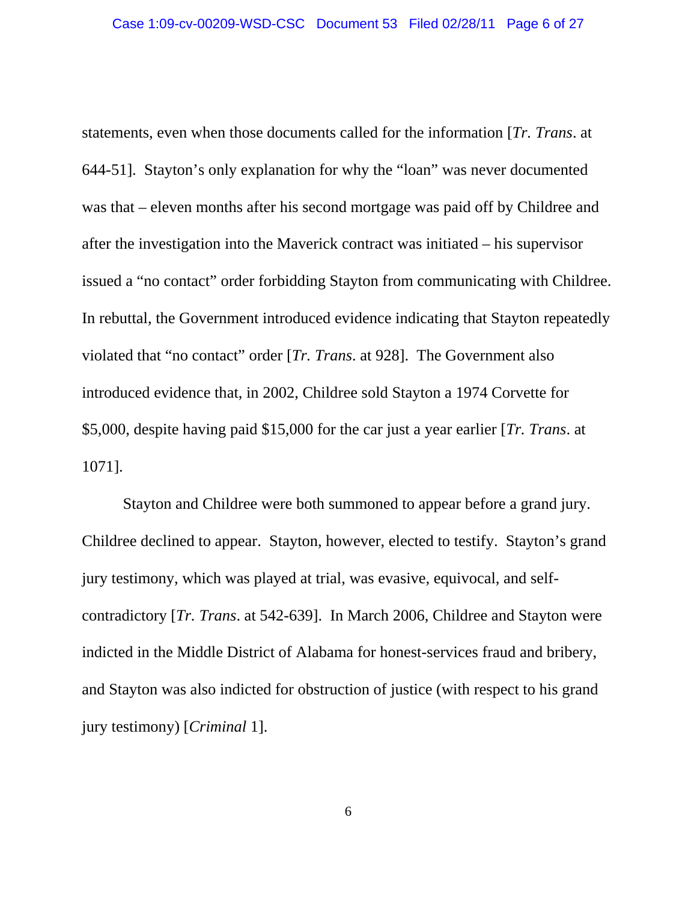statements, even when those documents called for the information [*Tr. Trans*. at 644-51]. Stayton's only explanation for why the "loan" was never documented was that – eleven months after his second mortgage was paid off by Childree and after the investigation into the Maverick contract was initiated – his supervisor issued a "no contact" order forbidding Stayton from communicating with Childree. In rebuttal, the Government introduced evidence indicating that Stayton repeatedly violated that "no contact" order [*Tr. Trans*. at 928]. The Government also introduced evidence that, in 2002, Childree sold Stayton a 1974 Corvette for \$5,000, despite having paid \$15,000 for the car just a year earlier [*Tr. Trans*. at 1071].

Stayton and Childree were both summoned to appear before a grand jury. Childree declined to appear. Stayton, however, elected to testify. Stayton's grand jury testimony, which was played at trial, was evasive, equivocal, and selfcontradictory [*Tr. Trans*. at 542-639]. In March 2006, Childree and Stayton were indicted in the Middle District of Alabama for honest-services fraud and bribery, and Stayton was also indicted for obstruction of justice (with respect to his grand jury testimony) [*Criminal* 1].

6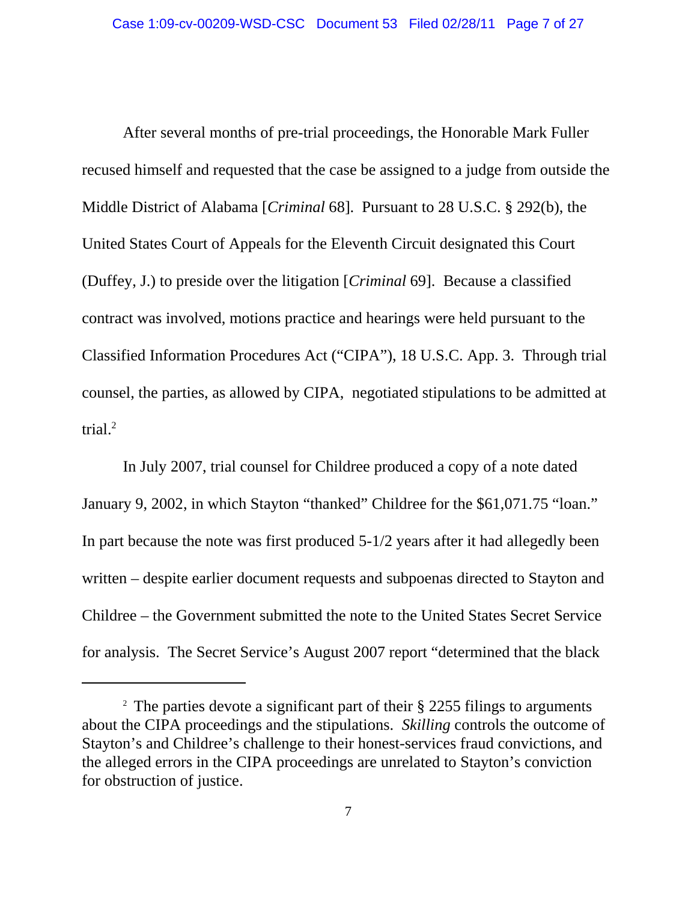After several months of pre-trial proceedings, the Honorable Mark Fuller recused himself and requested that the case be assigned to a judge from outside the Middle District of Alabama [*Criminal* 68]. Pursuant to 28 U.S.C. § 292(b), the United States Court of Appeals for the Eleventh Circuit designated this Court (Duffey, J.) to preside over the litigation [*Criminal* 69]. Because a classified contract was involved, motions practice and hearings were held pursuant to the Classified Information Procedures Act ("CIPA"), 18 U.S.C. App. 3. Through trial counsel, the parties, as allowed by CIPA, negotiated stipulations to be admitted at trial. $^{2}$ 

In July 2007, trial counsel for Childree produced a copy of a note dated January 9, 2002, in which Stayton "thanked" Childree for the \$61,071.75 "loan." In part because the note was first produced 5-1/2 years after it had allegedly been written – despite earlier document requests and subpoenas directed to Stayton and Childree – the Government submitted the note to the United States Secret Service for analysis. The Secret Service's August 2007 report "determined that the black

<sup>&</sup>lt;sup>2</sup> The parties devote a significant part of their § 2255 filings to arguments about the CIPA proceedings and the stipulations. *Skilling* controls the outcome of Stayton's and Childree's challenge to their honest-services fraud convictions, and the alleged errors in the CIPA proceedings are unrelated to Stayton's conviction for obstruction of justice.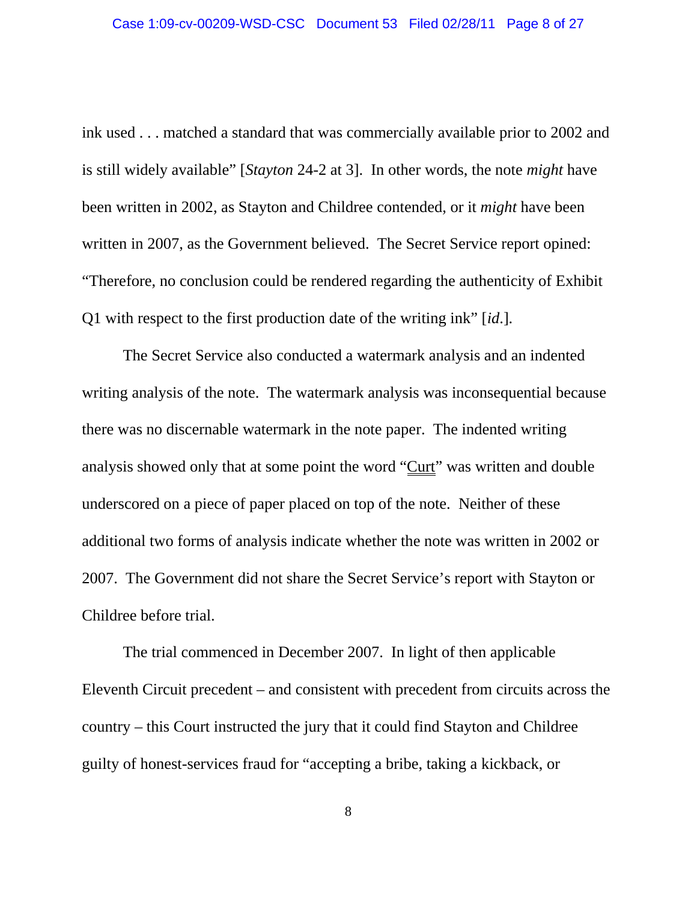ink used . . . matched a standard that was commercially available prior to 2002 and is still widely available" [*Stayton* 24-2 at 3]. In other words, the note *might* have been written in 2002, as Stayton and Childree contended, or it *might* have been written in 2007, as the Government believed. The Secret Service report opined: "Therefore, no conclusion could be rendered regarding the authenticity of Exhibit Q1 with respect to the first production date of the writing ink" [*id*.].

The Secret Service also conducted a watermark analysis and an indented writing analysis of the note. The watermark analysis was inconsequential because there was no discernable watermark in the note paper. The indented writing analysis showed only that at some point the word "Curt" was written and double underscored on a piece of paper placed on top of the note. Neither of these additional two forms of analysis indicate whether the note was written in 2002 or 2007. The Government did not share the Secret Service's report with Stayton or Childree before trial.

The trial commenced in December 2007. In light of then applicable Eleventh Circuit precedent – and consistent with precedent from circuits across the country – this Court instructed the jury that it could find Stayton and Childree guilty of honest-services fraud for "accepting a bribe, taking a kickback, or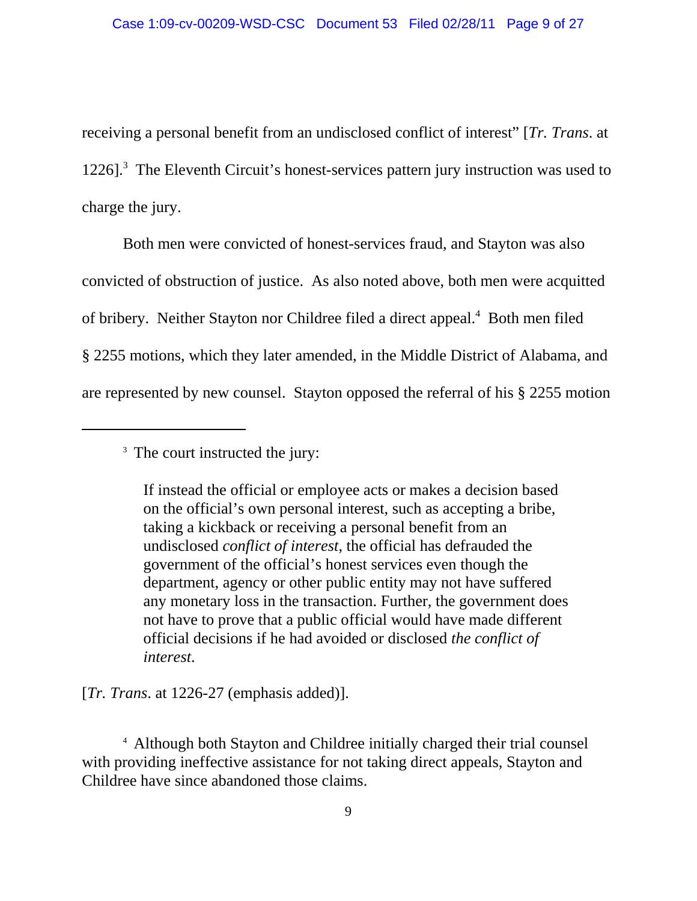receiving a personal benefit from an undisclosed conflict of interest" [*Tr. Trans*. at 1226].<sup>3</sup> The Eleventh Circuit's honest-services pattern jury instruction was used to charge the jury.

Both men were convicted of honest-services fraud, and Stayton was also convicted of obstruction of justice. As also noted above, both men were acquitted of bribery. Neither Stayton nor Childree filed a direct appeal.<sup>4</sup> Both men filed § 2255 motions, which they later amended, in the Middle District of Alabama, and are represented by new counsel. Stayton opposed the referral of his § 2255 motion

<sup>3</sup> The court instructed the jury:

If instead the official or employee acts or makes a decision based on the official's own personal interest, such as accepting a bribe, taking a kickback or receiving a personal benefit from an undisclosed *conflict of interest*, the official has defrauded the government of the official's honest services even though the department, agency or other public entity may not have suffered any monetary loss in the transaction. Further, the government does not have to prove that a public official would have made different official decisions if he had avoided or disclosed *the conflict of interest*.

[*Tr. Trans.* at 1226-27 (emphasis added)].

4 Although both Stayton and Childree initially charged their trial counsel with providing ineffective assistance for not taking direct appeals, Stayton and Childree have since abandoned those claims.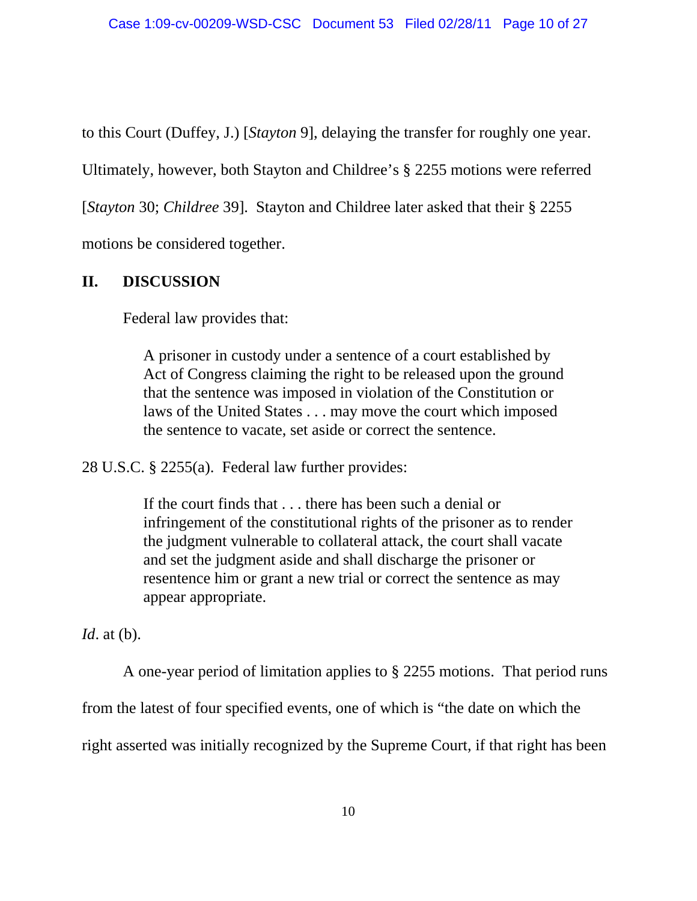to this Court (Duffey, J.) [*Stayton* 9], delaying the transfer for roughly one year.

Ultimately, however, both Stayton and Childree's § 2255 motions were referred

[*Stayton* 30; *Childree* 39]. Stayton and Childree later asked that their § 2255

motions be considered together.

# **II. DISCUSSION**

Federal law provides that:

A prisoner in custody under a sentence of a court established by Act of Congress claiming the right to be released upon the ground that the sentence was imposed in violation of the Constitution or laws of the United States . . . may move the court which imposed the sentence to vacate, set aside or correct the sentence.

28 U.S.C. § 2255(a). Federal law further provides:

If the court finds that . . . there has been such a denial or infringement of the constitutional rights of the prisoner as to render the judgment vulnerable to collateral attack, the court shall vacate and set the judgment aside and shall discharge the prisoner or resentence him or grant a new trial or correct the sentence as may appear appropriate.

*Id*. at (b).

A one-year period of limitation applies to § 2255 motions. That period runs

from the latest of four specified events, one of which is "the date on which the

right asserted was initially recognized by the Supreme Court, if that right has been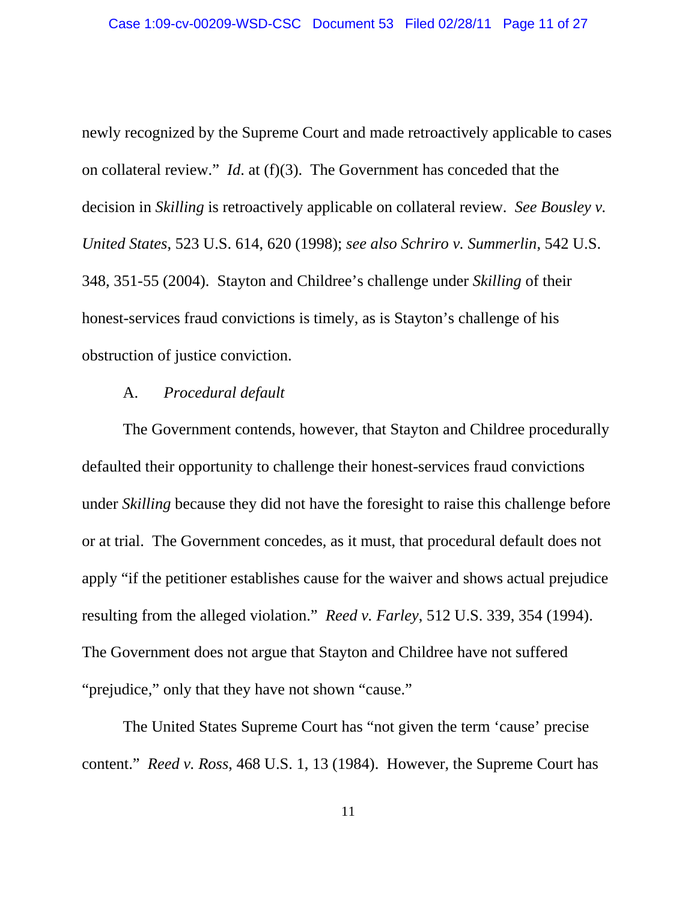newly recognized by the Supreme Court and made retroactively applicable to cases on collateral review." *Id*. at (f)(3). The Government has conceded that the decision in *Skilling* is retroactively applicable on collateral review. *See Bousley v. United States*, 523 U.S. 614, 620 (1998); *see also Schriro v. Summerlin*, 542 U.S. 348, 351-55 (2004). Stayton and Childree's challenge under *Skilling* of their honest-services fraud convictions is timely, as is Stayton's challenge of his obstruction of justice conviction.

#### A. *Procedural default*

The Government contends, however, that Stayton and Childree procedurally defaulted their opportunity to challenge their honest-services fraud convictions under *Skilling* because they did not have the foresight to raise this challenge before or at trial. The Government concedes, as it must, that procedural default does not apply "if the petitioner establishes cause for the waiver and shows actual prejudice resulting from the alleged violation." *Reed v. Farley*, 512 U.S. 339, 354 (1994). The Government does not argue that Stayton and Childree have not suffered "prejudice," only that they have not shown "cause."

The United States Supreme Court has "not given the term 'cause' precise content." *Reed v. Ross*, 468 U.S. 1, 13 (1984). However, the Supreme Court has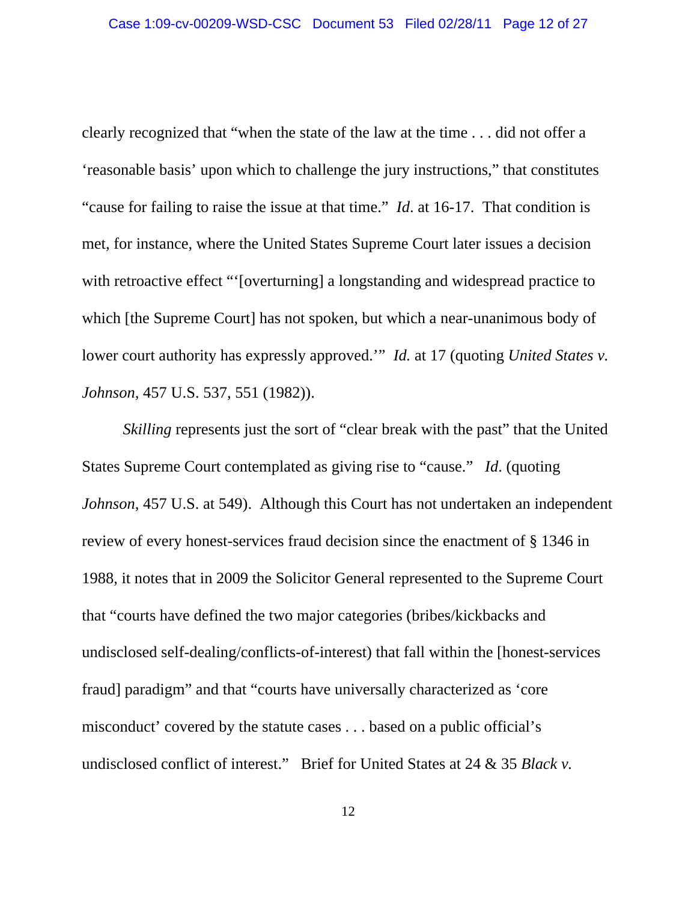clearly recognized that "when the state of the law at the time . . . did not offer a 'reasonable basis' upon which to challenge the jury instructions," that constitutes "cause for failing to raise the issue at that time." *Id*. at 16-17. That condition is met, for instance, where the United States Supreme Court later issues a decision with retroactive effect "'[overturning] a longstanding and widespread practice to which [the Supreme Court] has not spoken, but which a near-unanimous body of lower court authority has expressly approved.'" *Id.* at 17 (quoting *United States v. Johnson*, 457 U.S. 537, 551 (1982)).

*Skilling* represents just the sort of "clear break with the past" that the United States Supreme Court contemplated as giving rise to "cause." *Id*. (quoting *Johnson*, 457 U.S. at 549). Although this Court has not undertaken an independent review of every honest-services fraud decision since the enactment of § 1346 in 1988, it notes that in 2009 the Solicitor General represented to the Supreme Court that "courts have defined the two major categories (bribes/kickbacks and undisclosed self-dealing/conflicts-of-interest) that fall within the [honest-services fraud] paradigm" and that "courts have universally characterized as 'core misconduct' covered by the statute cases . . . based on a public official's undisclosed conflict of interest." Brief for United States at 24 & 35 *Black v.*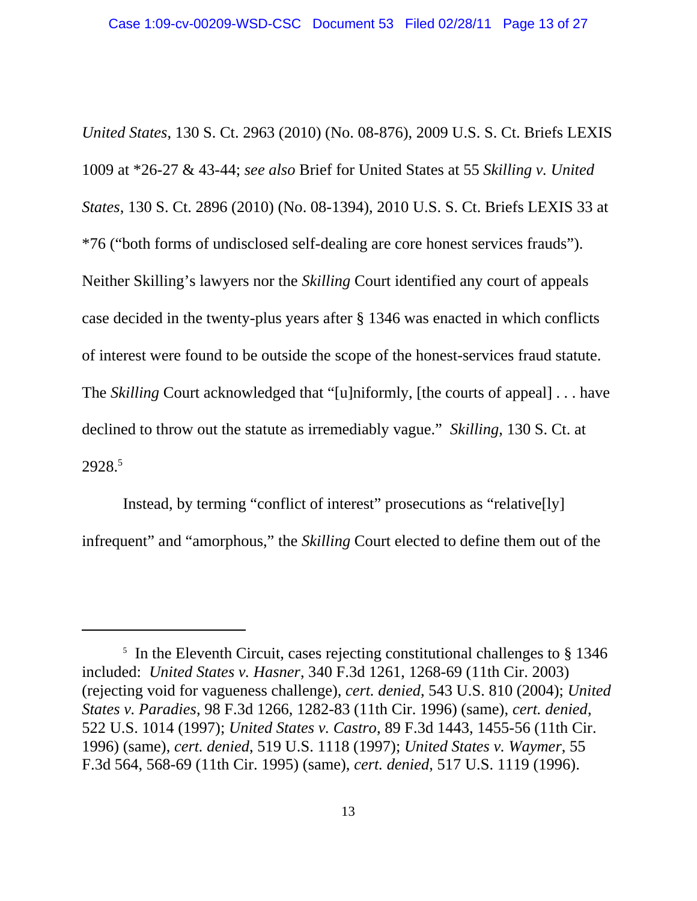*United States*, 130 S. Ct. 2963 (2010) (No. 08-876), 2009 U.S. S. Ct. Briefs LEXIS 1009 at \*26-27 & 43-44; *see also* Brief for United States at 55 *Skilling v. United States*, 130 S. Ct. 2896 (2010) (No. 08-1394), 2010 U.S. S. Ct. Briefs LEXIS 33 at \*76 ("both forms of undisclosed self-dealing are core honest services frauds"). Neither Skilling's lawyers nor the *Skilling* Court identified any court of appeals case decided in the twenty-plus years after § 1346 was enacted in which conflicts of interest were found to be outside the scope of the honest-services fraud statute. The *Skilling* Court acknowledged that "[u]niformly, [the courts of appeal] . . . have declined to throw out the statute as irremediably vague." *Skilling*, 130 S. Ct. at 2928.5

Instead, by terming "conflict of interest" prosecutions as "relative[ly] infrequent" and "amorphous," the *Skilling* Court elected to define them out of the

<sup>&</sup>lt;sup>5</sup> In the Eleventh Circuit, cases rejecting constitutional challenges to § 1346 included: *United States v. Hasner*, 340 F.3d 1261, 1268-69 (11th Cir. 2003) (rejecting void for vagueness challenge), *cert. denied*, 543 U.S. 810 (2004); *United States v. Paradies*, 98 F.3d 1266, 1282-83 (11th Cir. 1996) (same), *cert. denied*, 522 U.S. 1014 (1997); *United States v. Castro*, 89 F.3d 1443, 1455-56 (11th Cir. 1996) (same), *cert. denied*, 519 U.S. 1118 (1997); *United States v. Waymer*, 55 F.3d 564, 568-69 (11th Cir. 1995) (same), *cert. denied*, 517 U.S. 1119 (1996).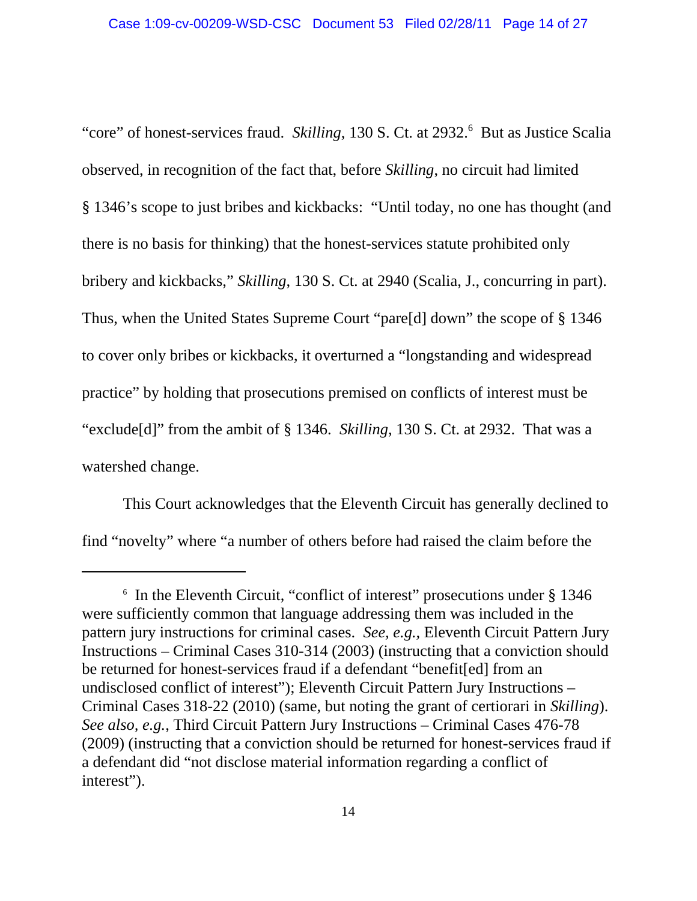"core" of honest-services fraud. Skilling, 130 S. Ct. at 2932.<sup>6</sup> But as Justice Scalia observed, in recognition of the fact that, before *Skilling*, no circuit had limited § 1346's scope to just bribes and kickbacks: "Until today, no one has thought (and there is no basis for thinking) that the honest-services statute prohibited only bribery and kickbacks," *Skilling*, 130 S. Ct. at 2940 (Scalia, J., concurring in part). Thus, when the United States Supreme Court "pare[d] down" the scope of § 1346 to cover only bribes or kickbacks, it overturned a "longstanding and widespread practice" by holding that prosecutions premised on conflicts of interest must be "exclude[d]" from the ambit of § 1346. *Skilling*, 130 S. Ct. at 2932. That was a watershed change.

This Court acknowledges that the Eleventh Circuit has generally declined to find "novelty" where "a number of others before had raised the claim before the

<sup>6</sup> In the Eleventh Circuit, "conflict of interest" prosecutions under § 1346 were sufficiently common that language addressing them was included in the pattern jury instructions for criminal cases. *See, e.g.,* Eleventh Circuit Pattern Jury Instructions – Criminal Cases 310-314 (2003) (instructing that a conviction should be returned for honest-services fraud if a defendant "benefit[ed] from an undisclosed conflict of interest"); Eleventh Circuit Pattern Jury Instructions – Criminal Cases 318-22 (2010) (same, but noting the grant of certiorari in *Skilling*). *See also, e.g.*, Third Circuit Pattern Jury Instructions – Criminal Cases 476-78 (2009) (instructing that a conviction should be returned for honest-services fraud if a defendant did "not disclose material information regarding a conflict of interest").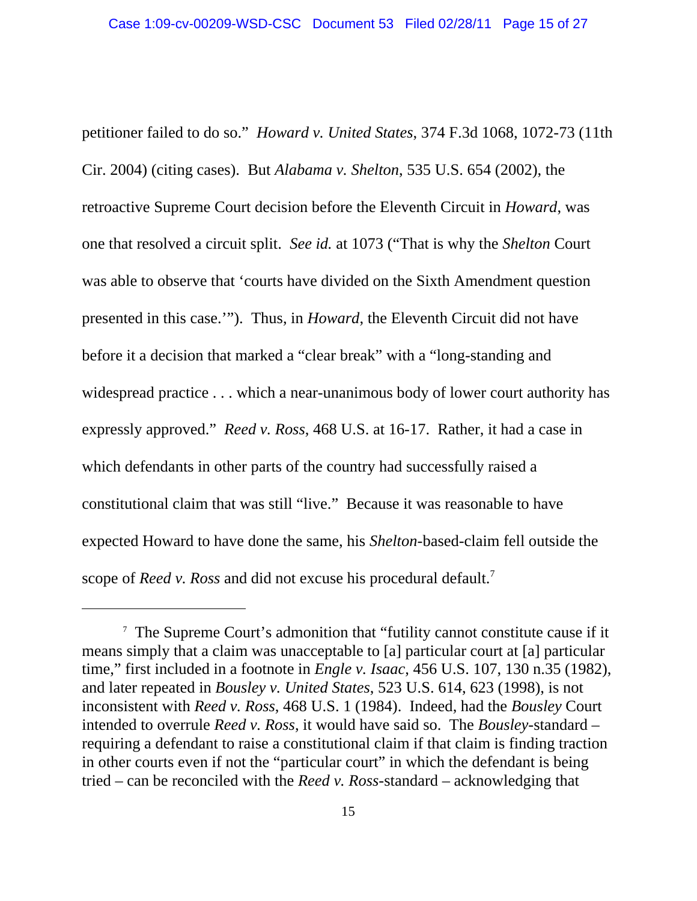petitioner failed to do so." *Howard v. United States*, 374 F.3d 1068, 1072-73 (11th Cir. 2004) (citing cases). But *Alabama v. Shelton*, 535 U.S. 654 (2002), the retroactive Supreme Court decision before the Eleventh Circuit in *Howard*, was one that resolved a circuit split. *See id.* at 1073 ("That is why the *Shelton* Court was able to observe that 'courts have divided on the Sixth Amendment question presented in this case.'"). Thus, in *Howard*, the Eleventh Circuit did not have before it a decision that marked a "clear break" with a "long-standing and widespread practice . . . which a near-unanimous body of lower court authority has expressly approved." *Reed v. Ross*, 468 U.S. at 16-17. Rather, it had a case in which defendants in other parts of the country had successfully raised a constitutional claim that was still "live." Because it was reasonable to have expected Howard to have done the same, his *Shelton*-based-claim fell outside the scope of *Reed v. Ross* and did not excuse his procedural default.<sup>7</sup>

<sup>&</sup>lt;sup>7</sup> The Supreme Court's admonition that "futility cannot constitute cause if it means simply that a claim was unacceptable to [a] particular court at [a] particular time," first included in a footnote in *Engle v. Isaac*, 456 U.S. 107, 130 n.35 (1982), and later repeated in *Bousley v. United States*, 523 U.S. 614, 623 (1998), is not inconsistent with *Reed v. Ross*, 468 U.S. 1 (1984). Indeed, had the *Bousley* Court intended to overrule *Reed v. Ross*, it would have said so. The *Bousley*-standard – requiring a defendant to raise a constitutional claim if that claim is finding traction in other courts even if not the "particular court" in which the defendant is being tried – can be reconciled with the *Reed v. Ross*-standard – acknowledging that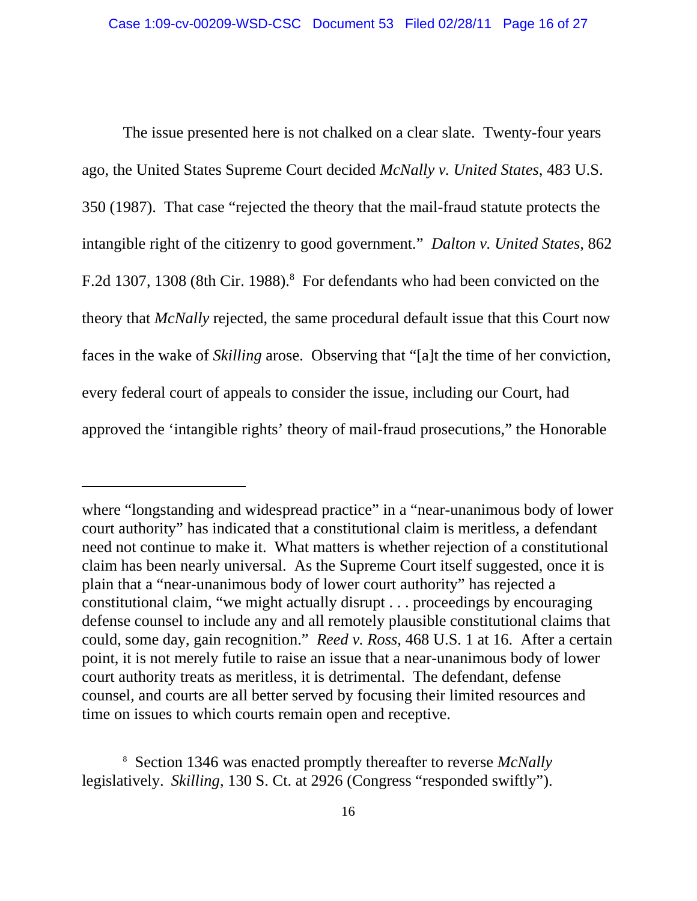The issue presented here is not chalked on a clear slate. Twenty-four years ago, the United States Supreme Court decided *McNally v. United States*, 483 U.S. 350 (1987). That case "rejected the theory that the mail-fraud statute protects the intangible right of the citizenry to good government." *Dalton v. United States*, 862 F.2d 1307, 1308 (8th Cir. 1988).<sup>8</sup> For defendants who had been convicted on the theory that *McNally* rejected, the same procedural default issue that this Court now faces in the wake of *Skilling* arose. Observing that "[a]t the time of her conviction, every federal court of appeals to consider the issue, including our Court, had approved the 'intangible rights' theory of mail-fraud prosecutions," the Honorable

where "longstanding and widespread practice" in a "near-unanimous body of lower court authority" has indicated that a constitutional claim is meritless, a defendant need not continue to make it. What matters is whether rejection of a constitutional claim has been nearly universal. As the Supreme Court itself suggested, once it is plain that a "near-unanimous body of lower court authority" has rejected a constitutional claim, "we might actually disrupt . . . proceedings by encouraging defense counsel to include any and all remotely plausible constitutional claims that could, some day, gain recognition." *Reed v. Ross*, 468 U.S. 1 at 16. After a certain point, it is not merely futile to raise an issue that a near-unanimous body of lower court authority treats as meritless, it is detrimental. The defendant, defense counsel, and courts are all better served by focusing their limited resources and time on issues to which courts remain open and receptive.

<sup>8</sup> Section 1346 was enacted promptly thereafter to reverse *McNally* legislatively. *Skilling*, 130 S. Ct. at 2926 (Congress "responded swiftly").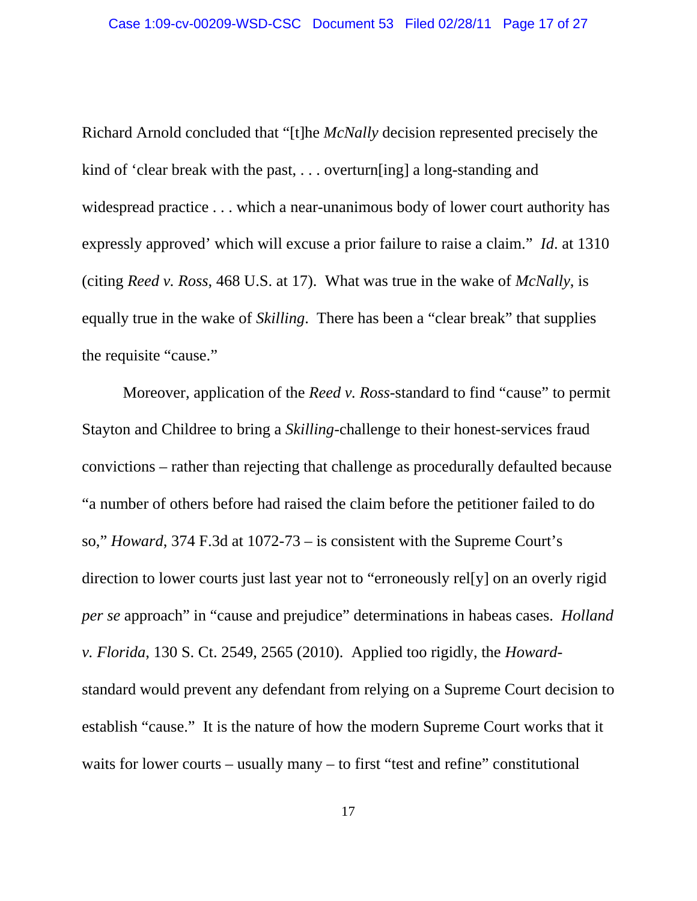Richard Arnold concluded that "[t]he *McNally* decision represented precisely the kind of 'clear break with the past, . . . overturn[ing] a long-standing and widespread practice . . . which a near-unanimous body of lower court authority has expressly approved' which will excuse a prior failure to raise a claim." *Id*. at 1310 (citing *Reed v. Ross*, 468 U.S. at 17). What was true in the wake of *McNally*, is equally true in the wake of *Skilling*. There has been a "clear break" that supplies the requisite "cause."

Moreover, application of the *Reed v. Ross-*standard to find "cause" to permit Stayton and Childree to bring a *Skilling*-challenge to their honest-services fraud convictions – rather than rejecting that challenge as procedurally defaulted because "a number of others before had raised the claim before the petitioner failed to do so," *Howard*, 374 F.3d at 1072-73 – is consistent with the Supreme Court's direction to lower courts just last year not to "erroneously rel[y] on an overly rigid *per se* approach" in "cause and prejudice" determinations in habeas cases. *Holland v. Florida*, 130 S. Ct. 2549, 2565 (2010). Applied too rigidly, the *Howard*standard would prevent any defendant from relying on a Supreme Court decision to establish "cause." It is the nature of how the modern Supreme Court works that it waits for lower courts – usually many – to first "test and refine" constitutional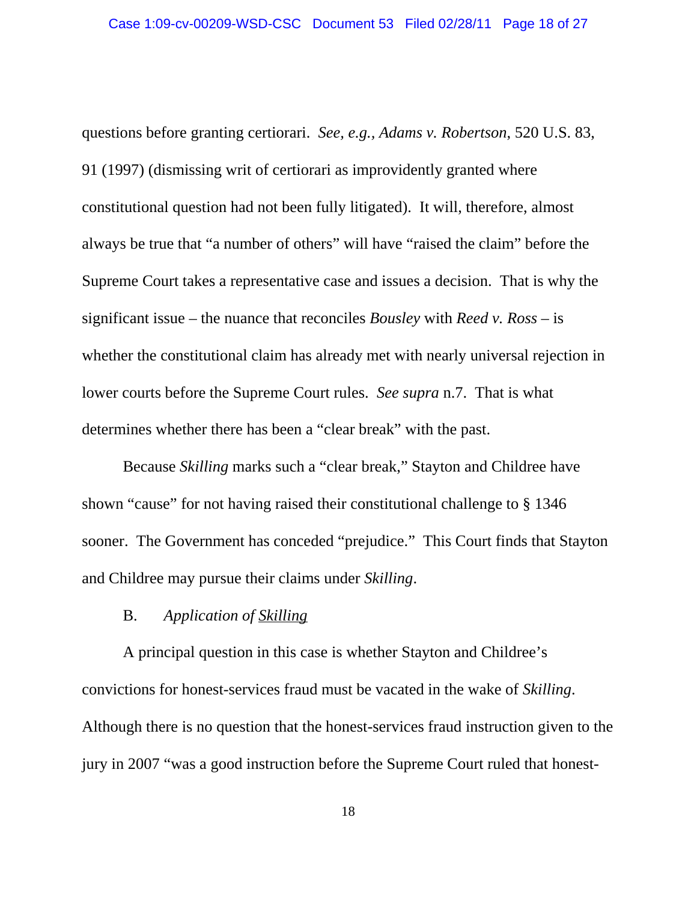questions before granting certiorari. *See, e.g., Adams v. Robertson*, 520 U.S. 83, 91 (1997) (dismissing writ of certiorari as improvidently granted where constitutional question had not been fully litigated). It will, therefore, almost always be true that "a number of others" will have "raised the claim" before the Supreme Court takes a representative case and issues a decision. That is why the significant issue – the nuance that reconciles *Bousley* with *Reed v. Ross* – is whether the constitutional claim has already met with nearly universal rejection in lower courts before the Supreme Court rules. *See supra* n.7. That is what determines whether there has been a "clear break" with the past.

Because *Skilling* marks such a "clear break," Stayton and Childree have shown "cause" for not having raised their constitutional challenge to § 1346 sooner. The Government has conceded "prejudice." This Court finds that Stayton and Childree may pursue their claims under *Skilling*.

## B. *Application of Skilling*

A principal question in this case is whether Stayton and Childree's convictions for honest-services fraud must be vacated in the wake of *Skilling*. Although there is no question that the honest-services fraud instruction given to the jury in 2007 "was a good instruction before the Supreme Court ruled that honest-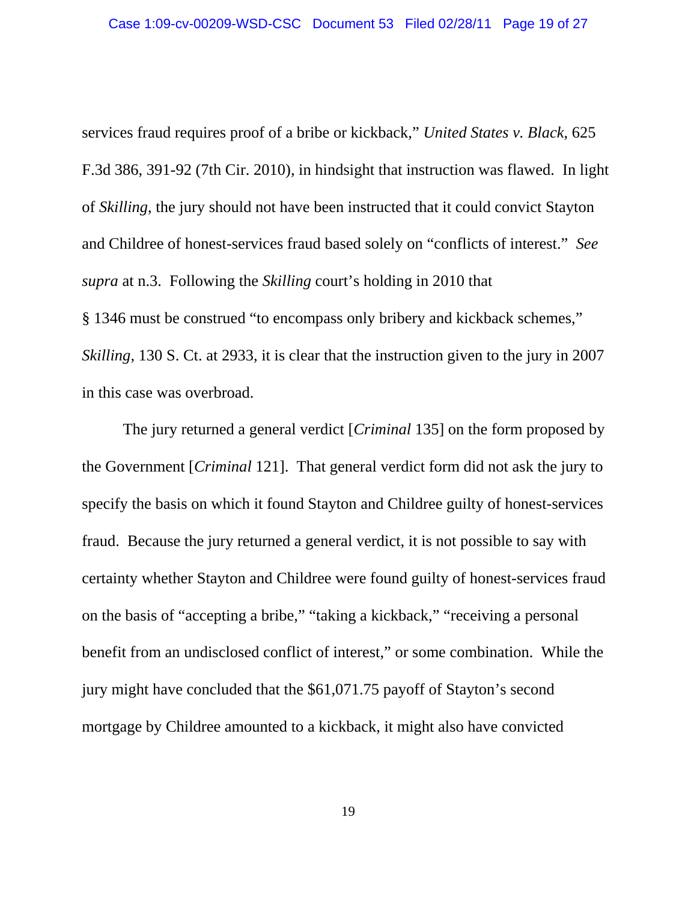services fraud requires proof of a bribe or kickback," *United States v. Black*, 625 F.3d 386, 391-92 (7th Cir. 2010), in hindsight that instruction was flawed. In light of *Skilling*, the jury should not have been instructed that it could convict Stayton and Childree of honest-services fraud based solely on "conflicts of interest." *See supra* at n.3. Following the *Skilling* court's holding in 2010 that § 1346 must be construed "to encompass only bribery and kickback schemes,"

*Skilling*, 130 S. Ct. at 2933, it is clear that the instruction given to the jury in 2007 in this case was overbroad.

The jury returned a general verdict [*Criminal* 135] on the form proposed by the Government [*Criminal* 121]. That general verdict form did not ask the jury to specify the basis on which it found Stayton and Childree guilty of honest-services fraud. Because the jury returned a general verdict, it is not possible to say with certainty whether Stayton and Childree were found guilty of honest-services fraud on the basis of "accepting a bribe," "taking a kickback," "receiving a personal benefit from an undisclosed conflict of interest," or some combination. While the jury might have concluded that the \$61,071.75 payoff of Stayton's second mortgage by Childree amounted to a kickback, it might also have convicted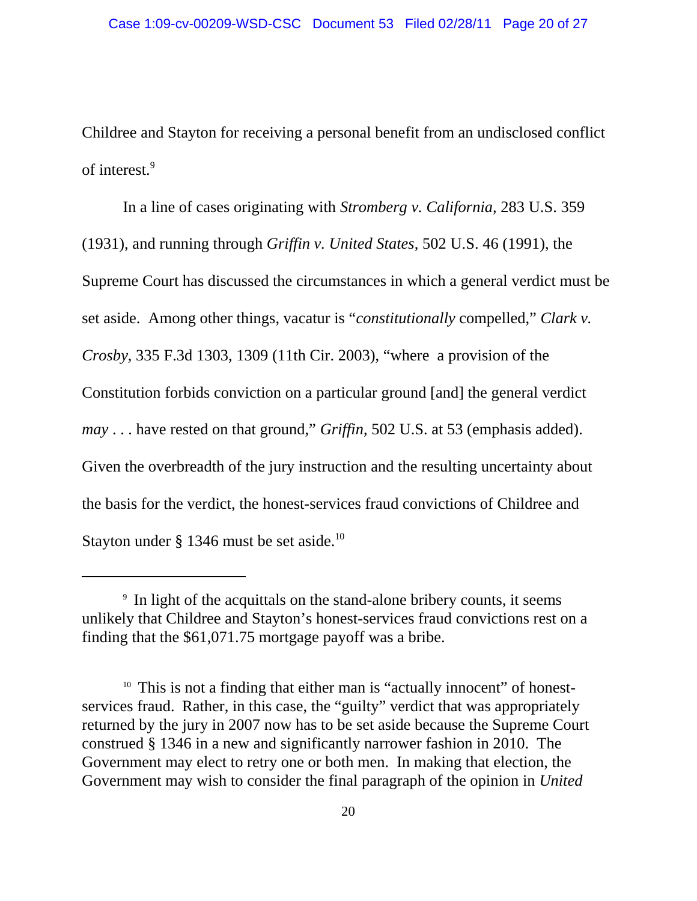Childree and Stayton for receiving a personal benefit from an undisclosed conflict of interest.<sup>9</sup>

In a line of cases originating with *Stromberg v. California*, 283 U.S. 359 (1931), and running through *Griffin v. United States*, 502 U.S. 46 (1991), the Supreme Court has discussed the circumstances in which a general verdict must be set aside. Among other things, vacatur is "*constitutionally* compelled," *Clark v. Crosby*, 335 F.3d 1303, 1309 (11th Cir. 2003), "where a provision of the Constitution forbids conviction on a particular ground [and] the general verdict *may* . . . have rested on that ground," *Griffin*, 502 U.S. at 53 (emphasis added). Given the overbreadth of the jury instruction and the resulting uncertainty about the basis for the verdict, the honest-services fraud convictions of Childree and Stayton under  $\S$  1346 must be set aside.<sup>10</sup>

<sup>&</sup>lt;sup>9</sup> In light of the acquittals on the stand-alone bribery counts, it seems unlikely that Childree and Stayton's honest-services fraud convictions rest on a finding that the \$61,071.75 mortgage payoff was a bribe.

<sup>&</sup>lt;sup>10</sup> This is not a finding that either man is "actually innocent" of honestservices fraud. Rather, in this case, the "guilty" verdict that was appropriately returned by the jury in 2007 now has to be set aside because the Supreme Court construed § 1346 in a new and significantly narrower fashion in 2010. The Government may elect to retry one or both men. In making that election, the Government may wish to consider the final paragraph of the opinion in *United*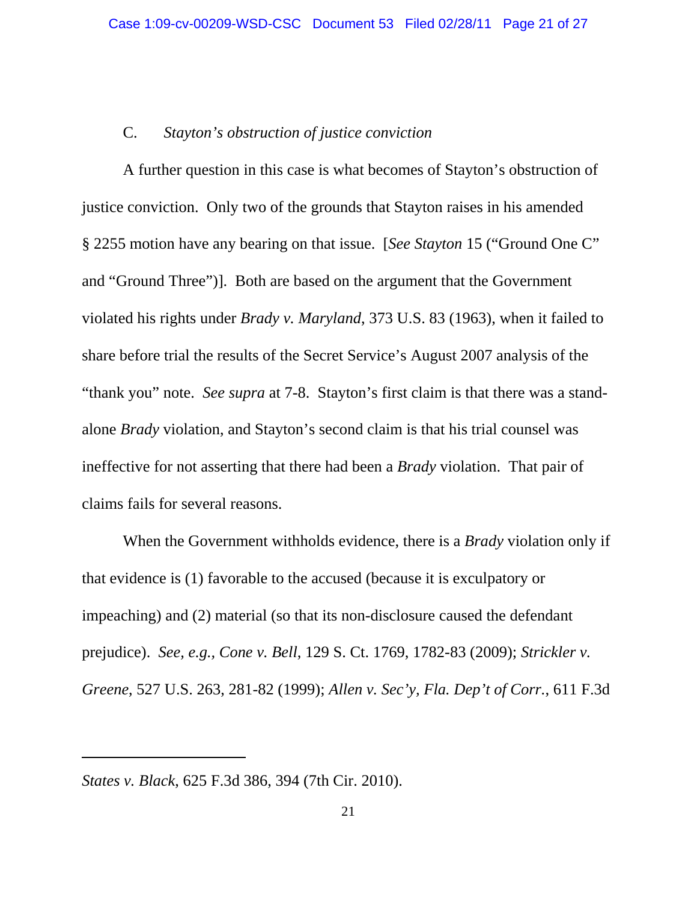# C. *Stayton's obstruction of justice conviction*

A further question in this case is what becomes of Stayton's obstruction of justice conviction. Only two of the grounds that Stayton raises in his amended § 2255 motion have any bearing on that issue. [*See Stayton* 15 ("Ground One C" and "Ground Three")]. Both are based on the argument that the Government violated his rights under *Brady v. Maryland*, 373 U.S. 83 (1963), when it failed to share before trial the results of the Secret Service's August 2007 analysis of the "thank you" note. *See supra* at 7-8. Stayton's first claim is that there was a standalone *Brady* violation, and Stayton's second claim is that his trial counsel was ineffective for not asserting that there had been a *Brady* violation. That pair of claims fails for several reasons.

When the Government withholds evidence, there is a *Brady* violation only if that evidence is (1) favorable to the accused (because it is exculpatory or impeaching) and (2) material (so that its non-disclosure caused the defendant prejudice). *See, e.g., Cone v. Bell*, 129 S. Ct. 1769, 1782-83 (2009); *Strickler v. Greene*, 527 U.S. 263, 281-82 (1999); *Allen v. Sec'y, Fla. Dep't of Corr.*, 611 F.3d

*States v. Black*, 625 F.3d 386, 394 (7th Cir. 2010).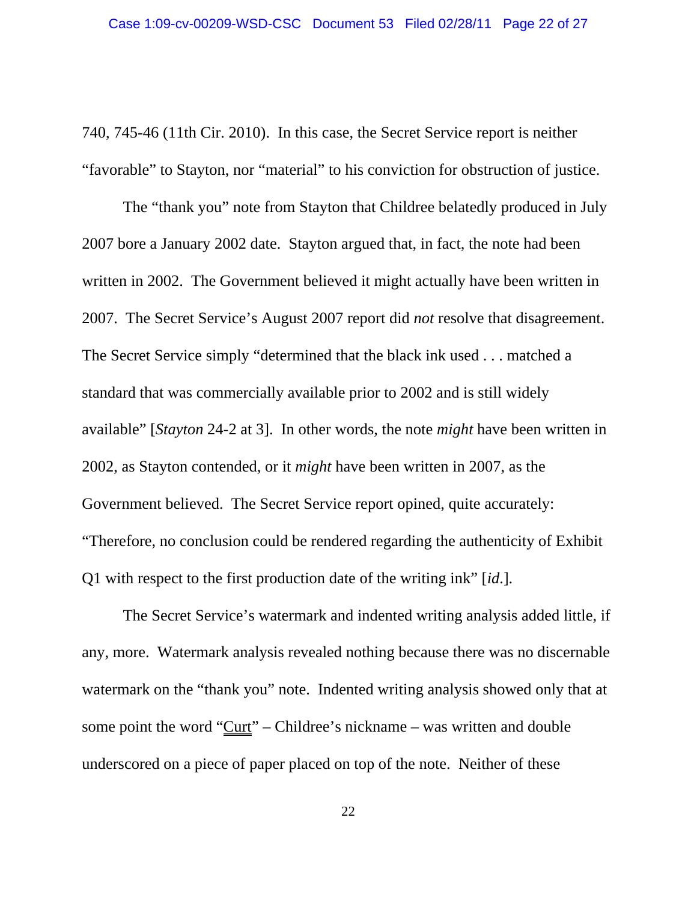740, 745-46 (11th Cir. 2010). In this case, the Secret Service report is neither "favorable" to Stayton, nor "material" to his conviction for obstruction of justice.

The "thank you" note from Stayton that Childree belatedly produced in July 2007 bore a January 2002 date. Stayton argued that, in fact, the note had been written in 2002. The Government believed it might actually have been written in 2007. The Secret Service's August 2007 report did *not* resolve that disagreement. The Secret Service simply "determined that the black ink used . . . matched a standard that was commercially available prior to 2002 and is still widely available" [*Stayton* 24-2 at 3]. In other words, the note *might* have been written in 2002, as Stayton contended, or it *might* have been written in 2007, as the Government believed. The Secret Service report opined, quite accurately: "Therefore, no conclusion could be rendered regarding the authenticity of Exhibit Q1 with respect to the first production date of the writing ink" [*id*.].

The Secret Service's watermark and indented writing analysis added little, if any, more. Watermark analysis revealed nothing because there was no discernable watermark on the "thank you" note. Indented writing analysis showed only that at some point the word "Curt" – Childree's nickname – was written and double underscored on a piece of paper placed on top of the note. Neither of these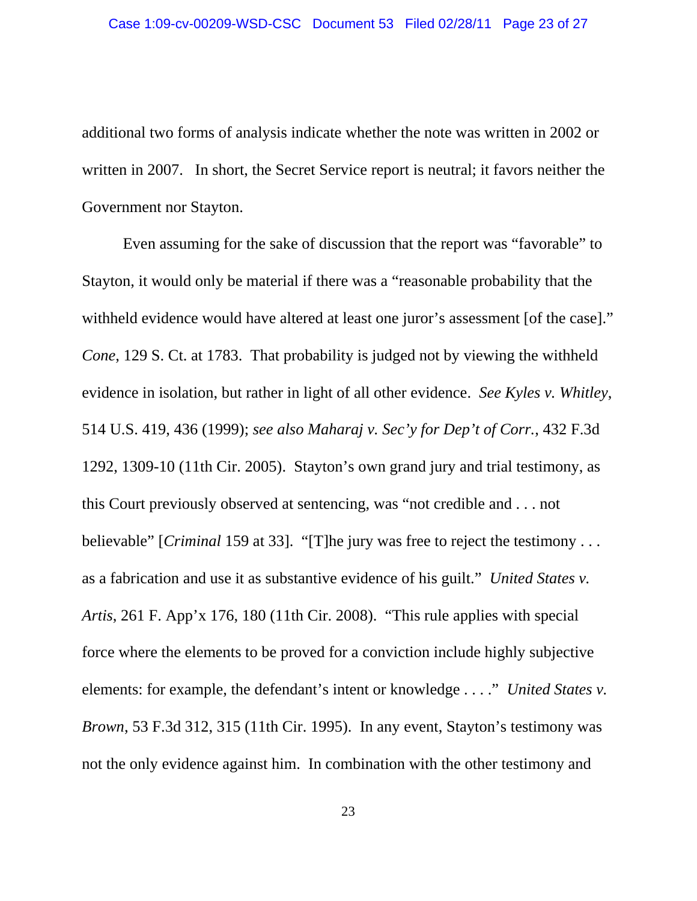additional two forms of analysis indicate whether the note was written in 2002 or written in 2007. In short, the Secret Service report is neutral; it favors neither the Government nor Stayton.

Even assuming for the sake of discussion that the report was "favorable" to Stayton, it would only be material if there was a "reasonable probability that the withheld evidence would have altered at least one juror's assessment [of the case]." *Cone*, 129 S. Ct. at 1783. That probability is judged not by viewing the withheld evidence in isolation, but rather in light of all other evidence. *See Kyles v. Whitley*, 514 U.S. 419, 436 (1999); *see also Maharaj v. Sec'y for Dep't of Corr.*, 432 F.3d 1292, 1309-10 (11th Cir. 2005). Stayton's own grand jury and trial testimony, as this Court previously observed at sentencing, was "not credible and . . . not believable" [*Criminal* 159 at 33]. "[T]he jury was free to reject the testimony . . . as a fabrication and use it as substantive evidence of his guilt." *United States v. Artis*, 261 F. App'x 176, 180 (11th Cir. 2008). "This rule applies with special force where the elements to be proved for a conviction include highly subjective elements: for example, the defendant's intent or knowledge . . . ." *United States v. Brown*, 53 F.3d 312, 315 (11th Cir. 1995). In any event, Stayton's testimony was not the only evidence against him. In combination with the other testimony and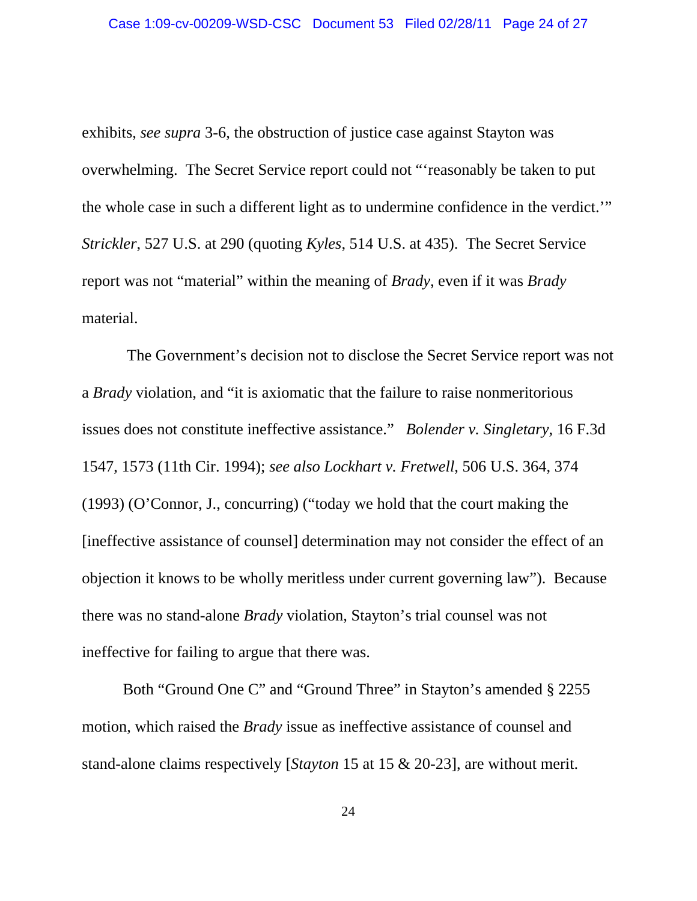exhibits, *see supra* 3-6, the obstruction of justice case against Stayton was overwhelming. The Secret Service report could not "'reasonably be taken to put the whole case in such a different light as to undermine confidence in the verdict.'" *Strickler*, 527 U.S. at 290 (quoting *Kyles*, 514 U.S. at 435). The Secret Service report was not "material" within the meaning of *Brady*, even if it was *Brady* material.

 The Government's decision not to disclose the Secret Service report was not a *Brady* violation, and "it is axiomatic that the failure to raise nonmeritorious issues does not constitute ineffective assistance." *Bolender v. Singletary*, 16 F.3d 1547, 1573 (11th Cir. 1994); *see also Lockhart v. Fretwell*, 506 U.S. 364, 374 (1993) (O'Connor, J., concurring) ("today we hold that the court making the [ineffective assistance of counsel] determination may not consider the effect of an objection it knows to be wholly meritless under current governing law"). Because there was no stand-alone *Brady* violation, Stayton's trial counsel was not ineffective for failing to argue that there was.

Both "Ground One C" and "Ground Three" in Stayton's amended § 2255 motion, which raised the *Brady* issue as ineffective assistance of counsel and stand-alone claims respectively [*Stayton* 15 at 15 & 20-23], are without merit.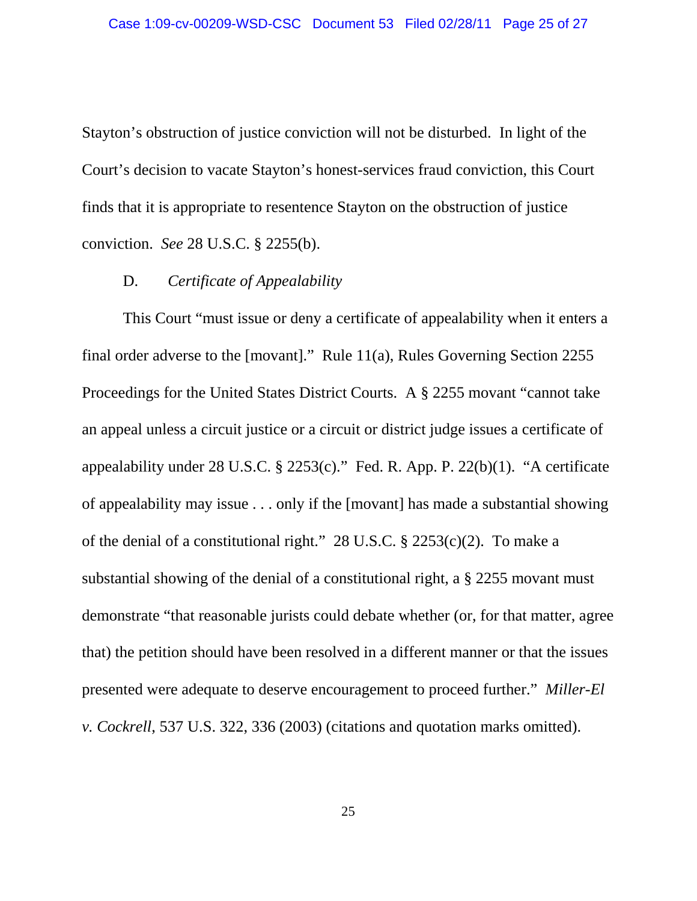Stayton's obstruction of justice conviction will not be disturbed. In light of the Court's decision to vacate Stayton's honest-services fraud conviction, this Court finds that it is appropriate to resentence Stayton on the obstruction of justice conviction. *See* 28 U.S.C. § 2255(b).

## D. *Certificate of Appealability*

This Court "must issue or deny a certificate of appealability when it enters a final order adverse to the [movant]." Rule 11(a), Rules Governing Section 2255 Proceedings for the United States District Courts. A § 2255 movant "cannot take an appeal unless a circuit justice or a circuit or district judge issues a certificate of appealability under 28 U.S.C. § 2253(c)." Fed. R. App. P. 22(b)(1). "A certificate of appealability may issue . . . only if the [movant] has made a substantial showing of the denial of a constitutional right." 28 U.S.C. § 2253(c)(2). To make a substantial showing of the denial of a constitutional right, a § 2255 movant must demonstrate "that reasonable jurists could debate whether (or, for that matter, agree that) the petition should have been resolved in a different manner or that the issues presented were adequate to deserve encouragement to proceed further." *Miller-El v. Cockrell*, 537 U.S. 322, 336 (2003) (citations and quotation marks omitted).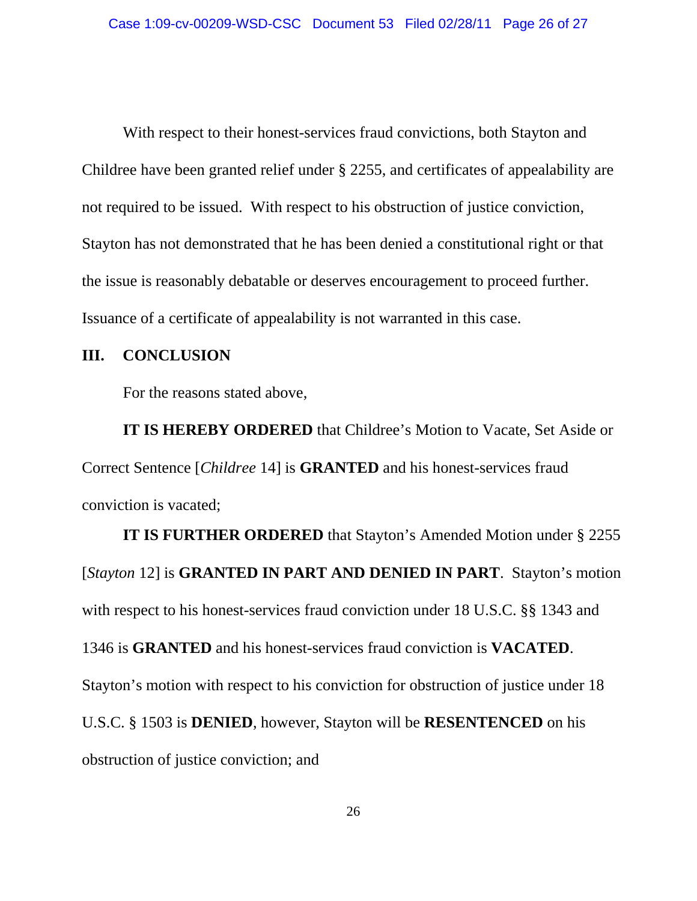With respect to their honest-services fraud convictions, both Stayton and Childree have been granted relief under § 2255, and certificates of appealability are not required to be issued. With respect to his obstruction of justice conviction, Stayton has not demonstrated that he has been denied a constitutional right or that the issue is reasonably debatable or deserves encouragement to proceed further. Issuance of a certificate of appealability is not warranted in this case.

## **III. CONCLUSION**

For the reasons stated above,

 **IT IS HEREBY ORDERED** that Childree's Motion to Vacate, Set Aside or Correct Sentence [*Childree* 14] is **GRANTED** and his honest-services fraud conviction is vacated;

**IT IS FURTHER ORDERED** that Stayton's Amended Motion under § 2255 [*Stayton* 12] is **GRANTED IN PART AND DENIED IN PART**. Stayton's motion with respect to his honest-services fraud conviction under 18 U.S.C. §§ 1343 and 1346 is **GRANTED** and his honest-services fraud conviction is **VACATED**. Stayton's motion with respect to his conviction for obstruction of justice under 18 U.S.C. § 1503 is **DENIED**, however, Stayton will be **RESENTENCED** on his obstruction of justice conviction; and